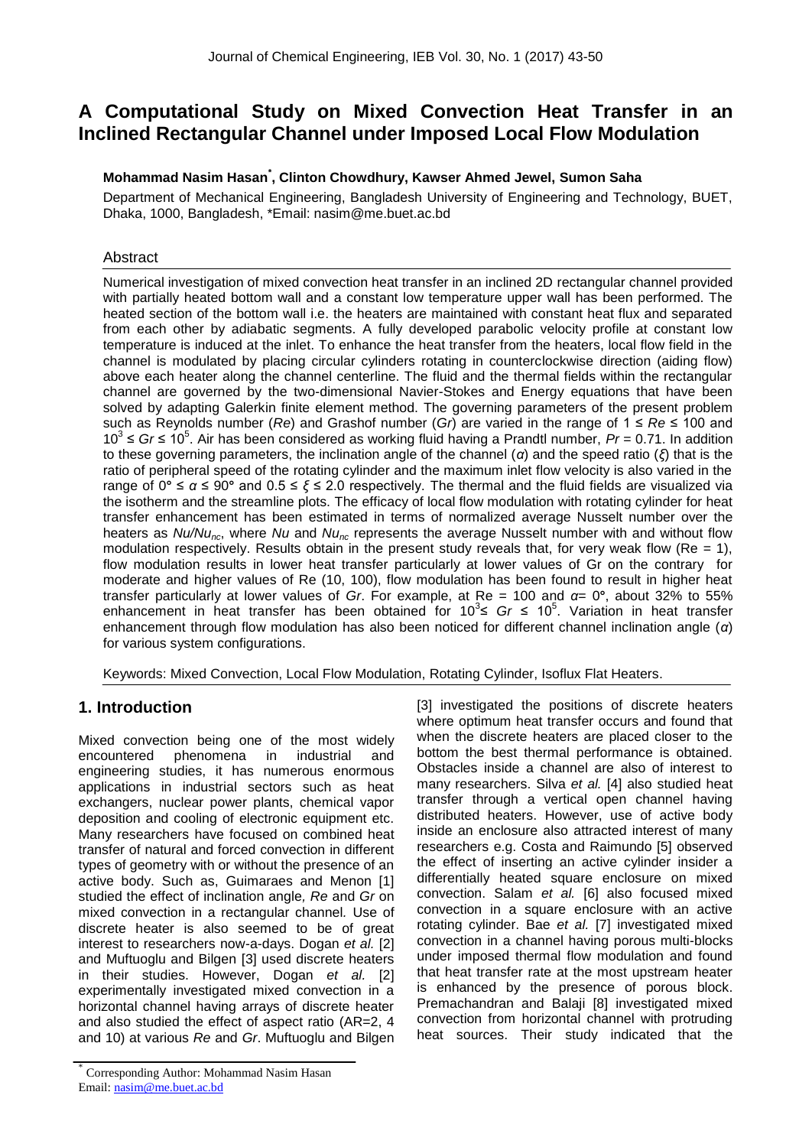# **A Computational Study on Mixed Convection Heat Transfer in an Inclined Rectangular Channel under Imposed Local Flow Modulation**

#### **Mohammad Nasim Hasan\* , Clinton Chowdhury, Kawser Ahmed Jewel, Sumon Saha**

Department of Mechanical Engineering, Bangladesh University of Engineering and Technology, BUET, Dhaka, 1000, Bangladesh, \*Email: nasim@me.buet.ac.bd

#### Abstract

Numerical investigation of mixed convection heat transfer in an inclined 2D rectangular channel provided with partially heated bottom wall and a constant low temperature upper wall has been performed. The heated section of the bottom wall i.e. the heaters are maintained with constant heat flux and separated from each other by adiabatic segments. A fully developed parabolic velocity profile at constant low temperature is induced at the inlet. To enhance the heat transfer from the heaters, local flow field in the channel is modulated by placing circular cylinders rotating in counterclockwise direction (aiding flow) above each heater along the channel centerline. The fluid and the thermal fields within the rectangular channel are governed by the two-dimensional Navier-Stokes and Energy equations that have been solved by adapting Galerkin finite element method. The governing parameters of the present problem such as Reynolds number (*Re*) and Grashof number (*Gr*) are varied in the range of 1 ≤ *Re* ≤ 100 and 10<sup>3</sup> ≤ *Gr* ≤ 10<sup>5</sup> . Air has been considered as working fluid having a Prandtl number, *Pr* = 0.71. In addition to these governing parameters, the inclination angle of the channel (*α*) and the speed ratio (*ξ*) that is the ratio of peripheral speed of the rotating cylinder and the maximum inlet flow velocity is also varied in the range of 0**°** ≤ *α* ≤ 90**°** and 0.5 ≤ *ξ* ≤ 2.0 respectively. The thermal and the fluid fields are visualized via the isotherm and the streamline plots. The efficacy of local flow modulation with rotating cylinder for heat transfer enhancement has been estimated in terms of normalized average Nusselt number over the heaters as *Nu/Nunc*, where *Nu* and *Nunc* represents the average Nusselt number with and without flow modulation respectively. Results obtain in the present study reveals that, for very weak flow ( $Re = 1$ ), flow modulation results in lower heat transfer particularly at lower values of Gr on the contrary for moderate and higher values of Re (10, 100), flow modulation has been found to result in higher heat transfer particularly at lower values of *Gr*. For example, at Re = 100 and *α*= 0**°**, about 32% to 55% enhancement in heat transfer has been obtained for  $10^3 \leq Gr \leq 10^5$ . Variation in heat transfer enhancement through flow modulation has also been noticed for different channel inclination angle (*α*) for various system configurations.

Keywords: Mixed Convection, Local Flow Modulation, Rotating Cylinder, Isoflux Flat Heaters.

## **1. Introduction**

Mixed convection being one of the most widely encountered phenomena in industrial and engineering studies, it has numerous enormous applications in industrial sectors such as heat exchangers, nuclear power plants, chemical vapor deposition and cooling of electronic equipment etc. Many researchers have focused on combined heat transfer of natural and forced convection in different types of geometry with or without the presence of an active body. Such as, Guimaraes and Menon [1] studied the effect of inclination angle*, Re* and *Gr* on mixed convection in a rectangular channel*.* Use of discrete heater is also seemed to be of great interest to researchers now-a-days. Dogan *et al.* [2] and Muftuoglu and Bilgen [3] used discrete heaters in their studies. However, Dogan *et al.* [2] experimentally investigated mixed convection in a horizontal channel having arrays of discrete heater and also studied the effect of aspect ratio (AR=2, 4 and 10) at various *Re* and *Gr*. Muftuoglu and Bilgen

[3] investigated the positions of discrete heaters where optimum heat transfer occurs and found that when the discrete heaters are placed closer to the bottom the best thermal performance is obtained. Obstacles inside a channel are also of interest to many researchers. Silva *et al.* [4] also studied heat transfer through a vertical open channel having distributed heaters. However, use of active body inside an enclosure also attracted interest of many researchers e.g. Costa and Raimundo [5] observed the effect of inserting an active cylinder insider a differentially heated square enclosure on mixed convection. Salam *et al.* [6] also focused mixed convection in a square enclosure with an active rotating cylinder. Bae *et al.* [7] investigated mixed convection in a channel having porous multi-blocks under imposed thermal flow modulation and found that heat transfer rate at the most upstream heater is enhanced by the presence of porous block. Premachandran and Balaji [8] investigated mixed convection from horizontal channel with protruding heat sources. Their study indicated that the

<sup>\*</sup> Corresponding Author: Mohammad Nasim Hasan Email: nasim@me.buet.ac.bd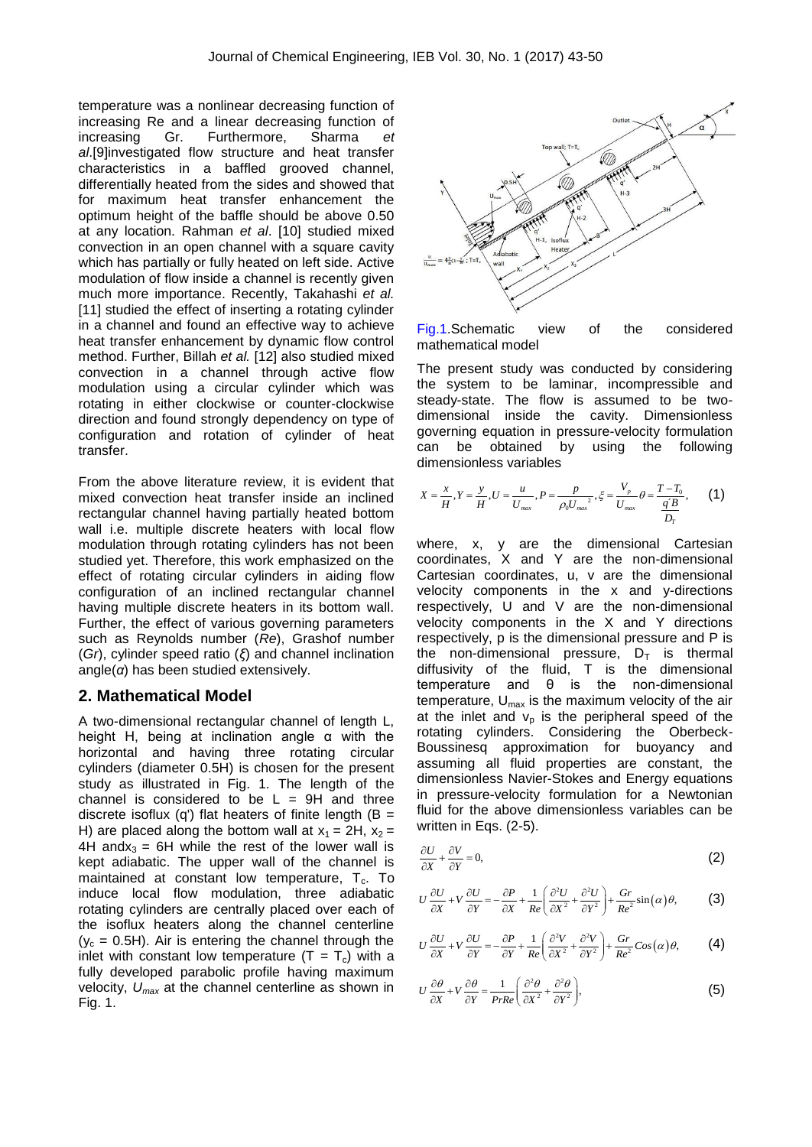temperature was a nonlinear decreasing function of increasing Re and a linear decreasing function of increasing Gr. Furthermore, Sharma *et al*.[9]investigated flow structure and heat transfer characteristics in a baffled grooved channel, differentially heated from the sides and showed that for maximum heat transfer enhancement the optimum height of the baffle should be above 0.50 at any location. Rahman *et al*. [10] studied mixed convection in an open channel with a square cavity which has partially or fully heated on left side. Active modulation of flow inside a channel is recently given much more importance. Recently, Takahashi *et al.*  [11] studied the effect of inserting a rotating cylinder in a channel and found an effective way to achieve heat transfer enhancement by dynamic flow control method. Further, Billah *et al.* [12] also studied mixed convection in a channel through active flow modulation using a circular cylinder which was rotating in either clockwise or counter-clockwise direction and found strongly dependency on type of configuration and rotation of cylinder of heat transfer.

From the above literature review, it is evident that mixed convection heat transfer inside an inclined rectangular channel having partially heated bottom wall i.e. multiple discrete heaters with local flow modulation through rotating cylinders has not been studied yet. Therefore, this work emphasized on the effect of rotating circular cylinders in aiding flow configuration of an inclined rectangular channel having multiple discrete heaters in its bottom wall. Further, the effect of various governing parameters such as Reynolds number (*Re*), Grashof number (*Gr*), cylinder speed ratio (*ξ*) and channel inclination angle(*α*) has been studied extensively.

#### **2. Mathematical Model**

A two-dimensional rectangular channel of length L, height H, being at inclination angle  $\alpha$  with the horizontal and having three rotating circular cylinders (diameter 0.5H) is chosen for the present study as illustrated in Fig. 1. The length of the channel is considered to be  $L = 9H$  and three discrete isoflux (q') flat heaters of finite length ( $B =$ H) are placed along the bottom wall at  $x_1 = 2H$ ,  $x_2 =$ 4H andx<sub>3</sub> = 6H while the rest of the lower wall is kept adiabatic. The upper wall of the channel is maintained at constant low temperature,  $T_c$ . To induce local flow modulation, three adiabatic rotating cylinders are centrally placed over each of the isoflux heaters along the channel centerline  $(y_c = 0.5H)$ . Air is entering the channel through the inlet with constant low temperature  $(T = T_c)$  with a fully developed parabolic profile having maximum velocity, *Umax* at the channel centerline as shown in Fig. 1.



Fig.1.Schematic view of the considered mathematical model

The present study was conducted by considering the system to be laminar, incompressible and steady-state. The flow is assumed to be twodimensional inside the cavity. Dimensionless governing equation in pressure-velocity formulation can be obtained by using the following dimensionless variables

$$
X = \frac{x}{H}, Y = \frac{y}{H}, U = \frac{u}{U_{max}}, P = \frac{p}{\rho_0 U_{max}}, \xi = \frac{V_p}{U_{max}} \theta = \frac{T - T_0}{\frac{q'B}{D_T}}, \qquad (1)
$$

where, x, y are the dimensional Cartesian coordinates, X and Y are the non-dimensional Cartesian coordinates, u, v are the dimensional velocity components in the x and y-directions respectively, U and V are the non-dimensional velocity components in the X and Y directions respectively, p is the dimensional pressure and P is the non-dimensional pressure,  $D_T$  is thermal diffusivity of the fluid, T is the dimensional temperature and θ is the non-dimensional temperature,  $U_{\text{max}}$  is the maximum velocity of the air at the inlet and  $v_p$  is the peripheral speed of the rotating cylinders. Considering the Oberbeck-Boussinesq approximation for buoyancy and assuming all fluid properties are constant, the dimensionless Navier-Stokes and Energy equations in pressure-velocity formulation for a Newtonian fluid for the above dimensionless variables can be written in Eqs. (2-5).

$$
\frac{\partial U}{\partial X} + \frac{\partial V}{\partial Y} = 0,\tag{2}
$$

$$
U\frac{\partial U}{\partial X} + V\frac{\partial U}{\partial Y} = -\frac{\partial P}{\partial X} + \frac{1}{Re} \left( \frac{\partial^2 U}{\partial X^2} + \frac{\partial^2 U}{\partial Y^2} \right) + \frac{Gr}{Re^2} \sin(\alpha)\theta, \tag{3}
$$

$$
U\frac{\partial U}{\partial X} + V\frac{\partial U}{\partial Y} = -\frac{\partial P}{\partial Y} + \frac{1}{Re} \left( \frac{\partial^2 V}{\partial X^2} + \frac{\partial^2 V}{\partial Y^2} \right) + \frac{Gr}{Re^2} Cos(\alpha)\theta, \tag{4}
$$

$$
U\frac{\partial\theta}{\partial X} + V\frac{\partial\theta}{\partial Y} = \frac{1}{PrRe}\left(\frac{\partial^2\theta}{\partial X^2} + \frac{\partial^2\theta}{\partial Y^2}\right),
$$
 (5)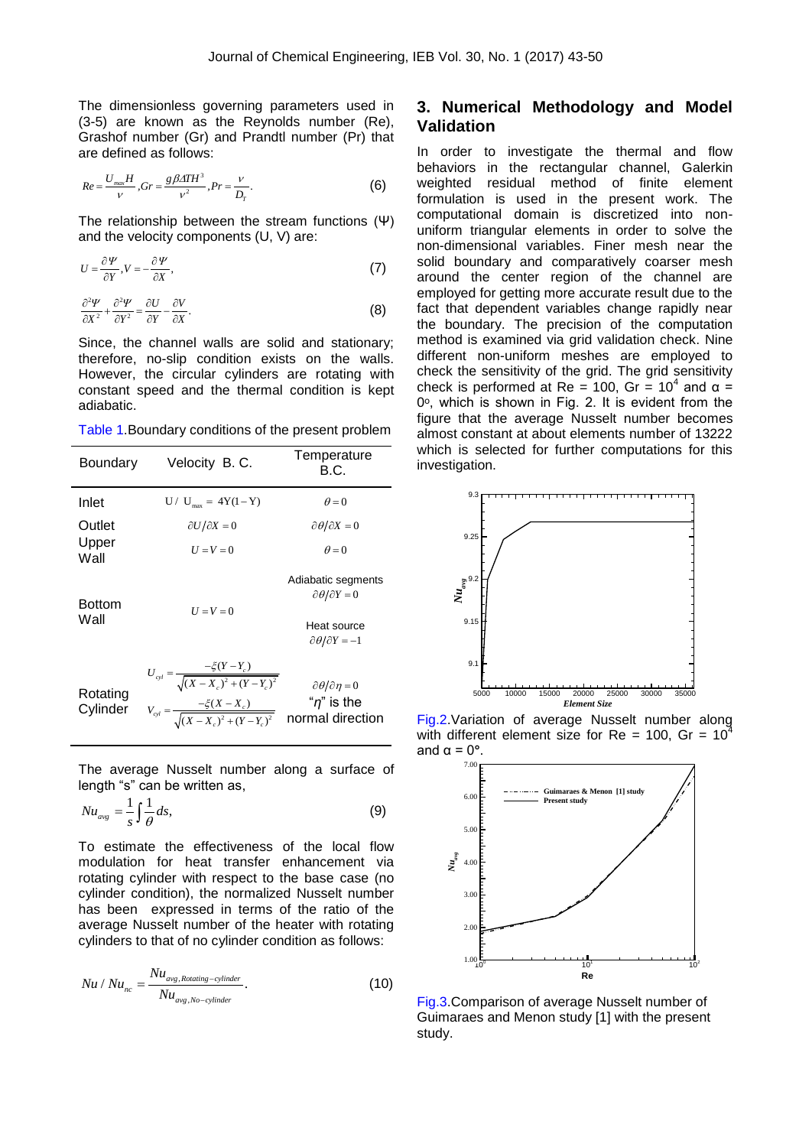The dimensionless governing parameters used in (3-5) are known as the Reynolds number (Re), Grashof number (Gr) and Prandtl number (Pr) that are defined as follows:

$$
Re = \frac{U_{max}H}{V}, Gr = \frac{g\beta\Delta T H^3}{V^2}, Pr = \frac{V}{D_T}.
$$
 (6)

The relationship between the stream functions (Ψ) and the velocity components (U, V) are:

$$
U = \frac{\partial \Psi}{\partial Y}, V = -\frac{\partial \Psi}{\partial X},
$$
 (7)

$$
\frac{\partial^2 \Psi}{\partial X^2} + \frac{\partial^2 \Psi}{\partial Y^2} = \frac{\partial U}{\partial Y} - \frac{\partial V}{\partial X}.
$$
 (8)

Since, the channel walls are solid and stationary; therefore, no-slip condition exists on the walls. However, the circular cylinders are rotating with constant speed and the thermal condition is kept adiabatic.

Table 1.Boundary conditions of the present problem

| Temperature                                                                                       |
|---------------------------------------------------------------------------------------------------|
|                                                                                                   |
| $\partial \theta / \partial X = 0$                                                                |
|                                                                                                   |
| Adiabatic segments                                                                                |
| Heat source<br>$\partial \theta / \partial Y = -1$                                                |
| "n" is the<br>$V_{cyl} = \frac{-\xi(X - X_c)}{\sqrt{(X - X_c)^2 + (Y - Y_c)^2}}$ normal direction |
| $\partial \theta / \partial Y = 0$<br>$\partial \theta / \partial \eta = 0$                       |

The average Nusselt number along a surface of length "s" can be written as,

$$
Nu_{avg} = \frac{1}{s} \int \frac{1}{\theta} ds,
$$
\n(9)

To estimate the effectiveness of the local flow modulation for heat transfer enhancement via rotating cylinder with respect to the base case (no cylinder condition), the normalized Nusselt number has been expressed in terms of the ratio of the average Nusselt number of the heater with rotating cylinders to that of no cylinder condition as follows:

$$
Nu / Nu_{nc} = \frac{Nu_{avg,Rotating-cylinder}}{Nu_{avg,No-cylinder}}.
$$
 (10)

#### **3. Numerical Methodology and Model Validation**

In order to investigate the thermal and flow behaviors in the rectangular channel, Galerkin weighted residual method of finite element formulation is used in the present work. The computational domain is discretized into nonuniform triangular elements in order to solve the non-dimensional variables. Finer mesh near the solid boundary and comparatively coarser mesh around the center region of the channel are employed for getting more accurate result due to the fact that dependent variables change rapidly near the boundary. The precision of the computation method is examined via grid validation check. Nine different non-uniform meshes are employed to check the sensitivity of the grid. The grid sensitivity check is performed at Re = 100, Gr =  $10^4$  and  $\alpha$  =  $0^\circ$ , which is shown in Fig. 2. It is evident from the figure that the average Nusselt number becomes almost constant at about elements number of 13222 which is selected for further computations for this investigation.



Fig.2.Variation of average Nusselt number along with different element size for Re = 100, Gr =  $10^4$ and  $\alpha = 0^\circ$ .



Fig.3.Comparison of average Nusselt number of Guimaraes and Menon study [1] with the present study.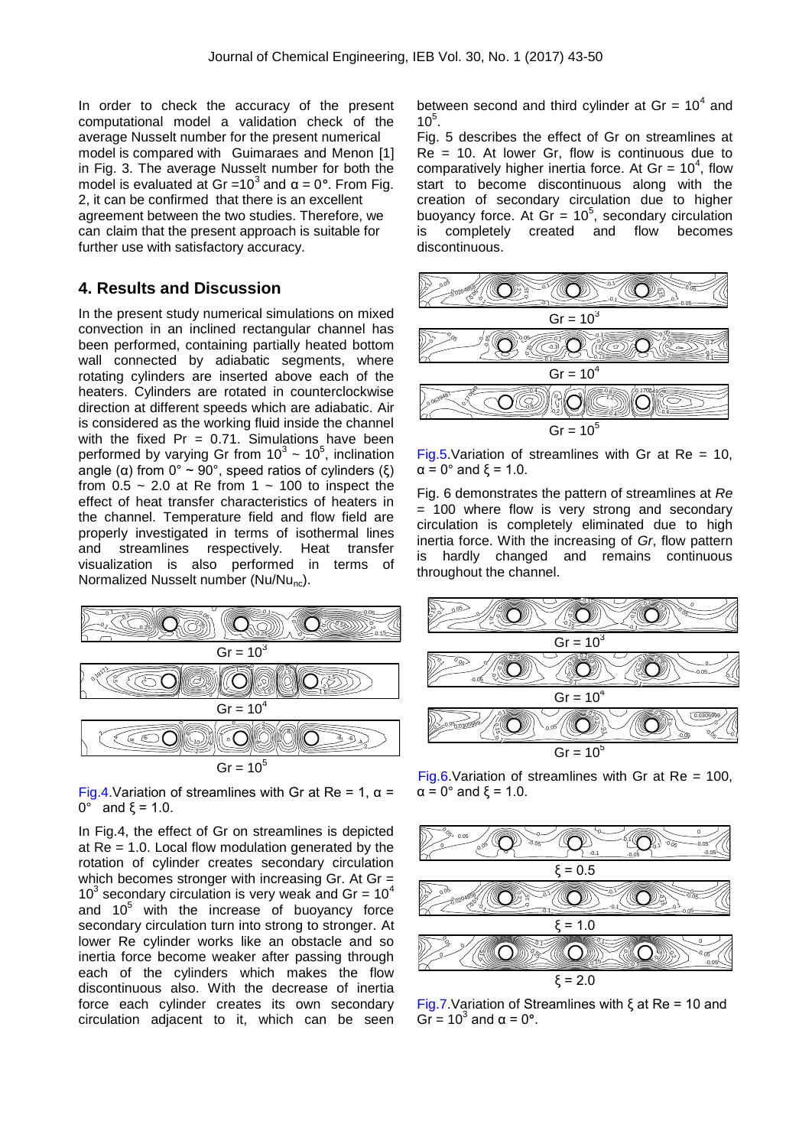In order to check the accuracy of the present computational model a validation check of the average Nusselt number for the present numerical model is compared with Guimaraes and Menon [1] in Fig. 3. The average Nusselt number for both the model is evaluated at Gr =  $10<sup>3</sup>$  and  $α = 0<sup>5</sup>$ . From Fig. 2, it can be confirmed that there is an excellent agreement between the two studies. Therefore, we can claim that the present approach is suitable for further use with satisfactory accuracy.

#### **4. Results and Discussion**

In the present study numerical simulations on mixed convection in an inclined rectangular channel has been performed, containing partially heated bottom wall connected by adiabatic segments, where rotating cylinders are inserted above each of the heaters. Cylinders are rotated in counterclockwise direction at different speeds which are adiabatic. Air is considered as the working fluid inside the channel with the fixed  $Pr = 0.71$ . Simulations have been performed by varying Gr from  $10^3 \sim 10^5$ , inclination angle (α) from  $0^\circ \sim 90^\circ$ , speed ratios of cylinders (ξ) from  $0.5 \sim 2.0$  at Re from 1  $\sim$  100 to inspect the effect of heat transfer characteristics of heaters in the channel. Temperature field and flow field are properly investigated in terms of isothermal lines and streamlines respectively. Heat transfer visualization is also performed in terms of Normalized Nusselt number (Nu/Nu<sub>nc</sub>).



Fig.4. Variation of streamlines with Gr at Re = 1,  $\alpha$  =  $0^{\circ}$  and ξ = 1.0.

In Fig.4, the effect of Gr on streamlines is depicted at Re = 1.0. Local flow modulation generated by the rotation of cylinder creates secondary circulation which becomes stronger with increasing Gr. At Gr =  $10<sup>3</sup>$  secondary circulation is very weak and Gr =  $10<sup>4</sup>$ and  $10<sup>5</sup>$  with the increase of buoyancy force secondary circulation turn into strong to stronger. At lower Re cylinder works like an obstacle and so inertia force become weaker after passing through each of the cylinders which makes the flow discontinuous also. With the decrease of inertia force each cylinder creates its own secondary circulation adjacent to it, which can be seen between second and third cylinder at Gr =  $10^4$  and  $10^5$ .

Fig. 5 describes the effect of Gr on streamlines at  $Re = 10$ . At lower Gr, flow is continuous due to comparatively higher inertia force. At Gr =  $10^4$ , flow start to become discontinuous along with the creation of secondary circulation due to higher buoyancy force. At  $Gr = 10^5$ , secondary circulation is completely created and flow becomes discontinuous.



Fig.5. Variation of streamlines with Gr at Re =  $10$ ,  $\alpha$  = 0° and  $\xi$  = 1.0.

Fig. 6 demonstrates the pattern of streamlines at *Re* = 100 where flow is very strong and secondary circulation is completely eliminated due to high inertia force. With the increasing of *Gr*, flow pattern is hardly changed and remains continuous throughout the channel.



Fig.6. Variation of streamlines with Gr at Re =  $100$ ,  $\alpha$  = 0° and  $\xi$  = 1.0.



Fig.7.Variation of Streamlines with ξ at Re = 10 and Gr =  $10^3$  and  $\alpha = 0^\circ$ .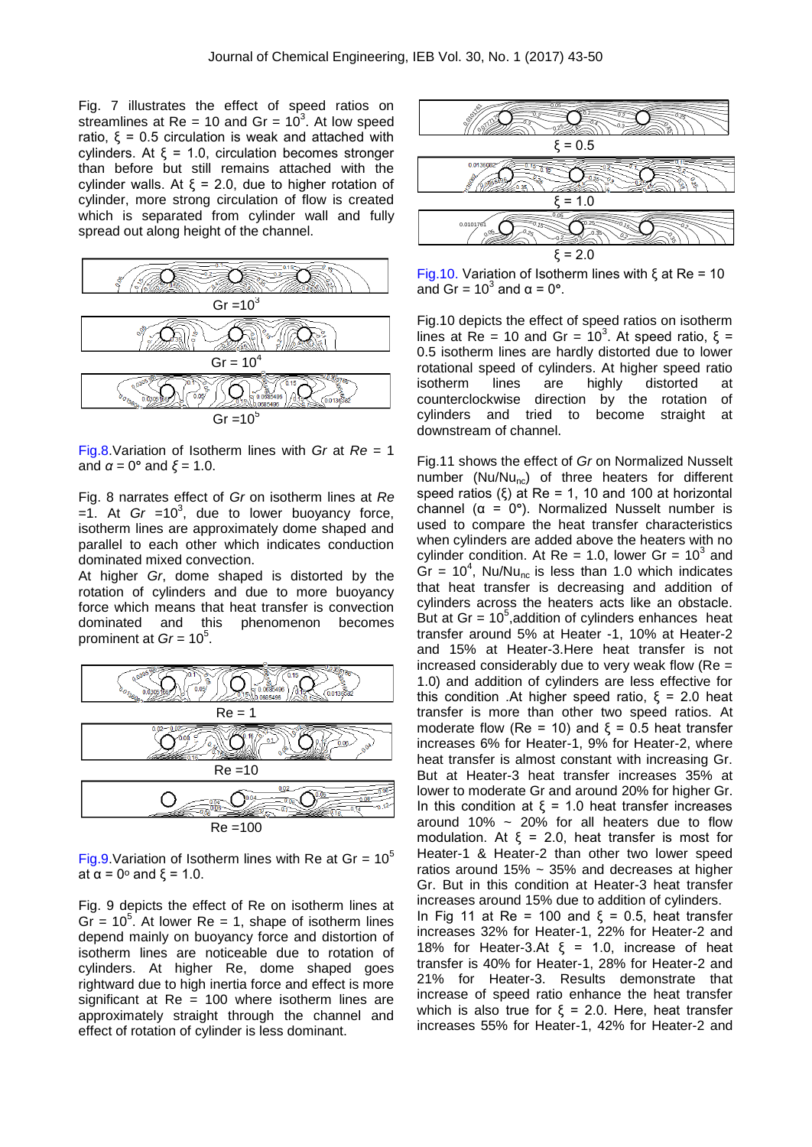Fig. 7 illustrates the effect of speed ratios on streamlines at Re = 10 and Gr =  $10^3$ . At low speed ratio,  $ξ = 0.5$  circulation is weak and attached with cylinders. At ξ = 1.0, circulation becomes stronger than before but still remains attached with the cylinder walls. At  $ξ = 2.0$ , due to higher rotation of cylinder, more strong circulation of flow is created which is separated from cylinder wall and fully spread out along height of the channel.



Fig.8.Variation of Isotherm lines with *Gr* at *Re* = 1 and  $α = 0°$  and  $ξ = 1.0$ .

Fig. 8 narrates effect of *Gr* on isotherm lines at *Re*   $=1$ . At *Gr*  $=10^3$ , due to lower buoyancy force, isotherm lines are approximately dome shaped and parallel to each other which indicates conduction dominated mixed convection.

At higher *Gr*, dome shaped is distorted by the rotation of cylinders and due to more buoyancy force which means that heat transfer is convection dominated and this phenomenon becomes prominent at *Gr* = 10<sup>5</sup>.



Fig.9. Variation of Isotherm lines with Re at Gr =  $10^5$ at  $\alpha = 0^\circ$  and  $\xi = 1.0$ .

Fig. 9 depicts the effect of Re on isotherm lines at  $Gr = 10<sup>5</sup>$ . At lower Re = 1, shape of isotherm lines depend mainly on buoyancy force and distortion of isotherm lines are noticeable due to rotation of cylinders. At higher Re, dome shaped goes rightward due to high inertia force and effect is more significant at  $Re = 100$  where isotherm lines are approximately straight through the channel and effect of rotation of cylinder is less dominant.



Fig.10. Variation of Isotherm lines with ξ at Re = 10 and Gr =  $10^3$  and  $\alpha$  = 0°.

Fig.10 depicts the effect of speed ratios on isotherm lines at Re = 10 and Gr =  $10<sup>3</sup>$ . At speed ratio, ξ = 0.5 isotherm lines are hardly distorted due to lower rotational speed of cylinders. At higher speed ratio isotherm lines are highly distorted at counterclockwise direction by the rotation of cylinders and tried to become straight at downstream of channel.

Fig.11 shows the effect of *Gr* on Normalized Nusselt number ( $Nu/Mu_{nc}$ ) of three heaters for different speed ratios  $(\xi)$  at Re = 1, 10 and 100 at horizontal channel (α = 0**°**). Normalized Nusselt number is used to compare the heat transfer characteristics when cylinders are added above the heaters with no cylinder condition. At Re = 1.0, lower Gr =  $10^3$  and  $\text{Gr} = 10^4$ , Nu/Nu<sub>nc</sub> is less than 1.0 which indicates that heat transfer is decreasing and addition of cylinders across the heaters acts like an obstacle. But at Gr =  $10^5$ , addition of cylinders enhances heat transfer around 5% at Heater -1, 10% at Heater-2 and 15% at Heater-3.Here heat transfer is not increased considerably due to very weak flow ( $Re =$ 1.0) and addition of cylinders are less effective for this condition .At higher speed ratio,  $ξ = 2.0$  heat transfer is more than other two speed ratios. At moderate flow (Re = 10) and  $ξ = 0.5$  heat transfer increases 6% for Heater-1, 9% for Heater-2, where heat transfer is almost constant with increasing Gr. But at Heater-3 heat transfer increases 35% at lower to moderate Gr and around 20% for higher Gr. In this condition at ξ = 1.0 heat transfer increases around 10%  $\sim$  20% for all heaters due to flow modulation. At  $ξ = 2.0$ , heat transfer is most for Heater-1 & Heater-2 than other two lower speed ratios around 15% ~ 35% and decreases at higher Gr. But in this condition at Heater-3 heat transfer increases around 15% due to addition of cylinders. In Fig 11 at Re = 100 and  $ξ = 0.5$ , heat transfer increases 32% for Heater-1, 22% for Heater-2 and 18% for Heater-3.At  $\xi = 1.0$ , increase of heat transfer is 40% for Heater-1, 28% for Heater-2 and 21% for Heater-3. Results demonstrate that increase of speed ratio enhance the heat transfer which is also true for  $\xi = 2.0$ . Here, heat transfer increases 55% for Heater-1, 42% for Heater-2 and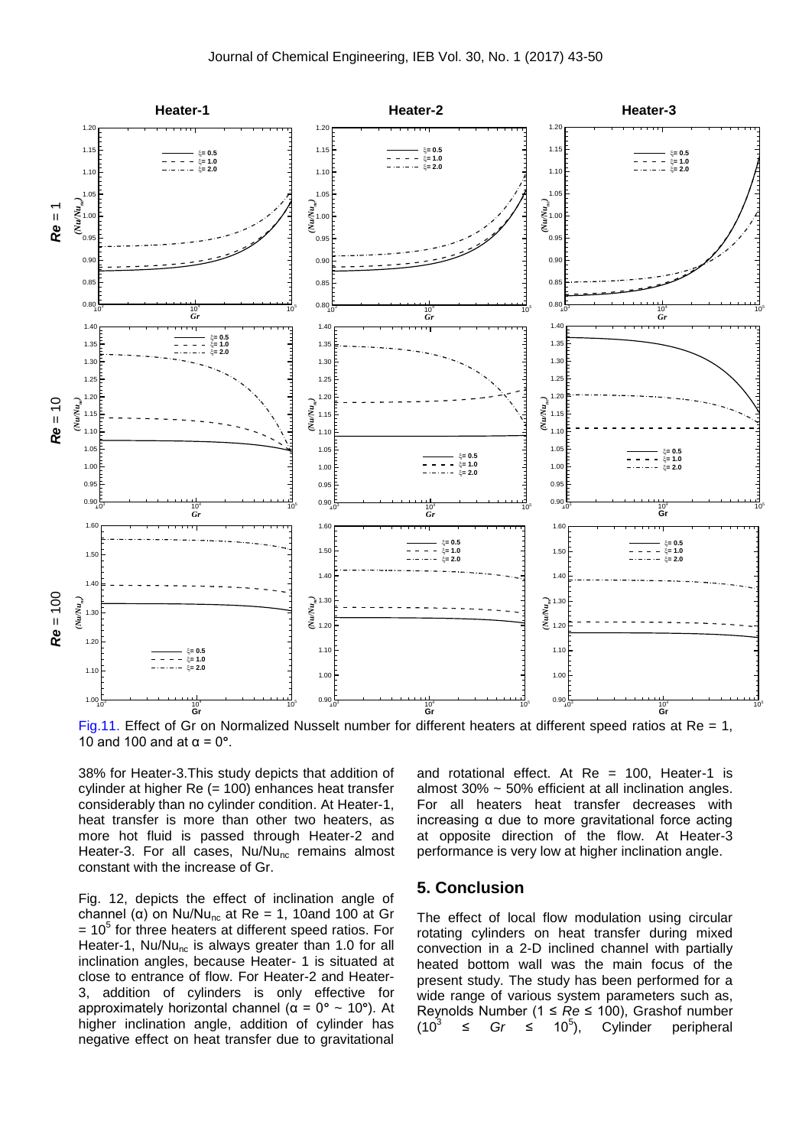

Fig.11. Effect of Gr on Normalized Nusselt number for different heaters at different speed ratios at Re = 1, 10 and 100 and at α = 0**°**.

38% for Heater-3.This study depicts that addition of cylinder at higher Re (= 100) enhances heat transfer considerably than no cylinder condition. At Heater-1, heat transfer is more than other two heaters, as more hot fluid is passed through Heater-2 and Heater-3. For all cases,  $Nu/Nu_{nc}$  remains almost constant with the increase of Gr.

Fig. 12, depicts the effect of inclination angle of channel (α) on Nu/Nu<sub>nc</sub> at Re = 1, 10and 100 at Gr  $= 10<sup>5</sup>$  for three heaters at different speed ratios. For Heater-1,  $Nu/Mu_{nc}$  is always greater than 1.0 for all inclination angles, because Heater- 1 is situated at close to entrance of flow. For Heater-2 and Heater-3, addition of cylinders is only effective for approximately horizontal channel (α = 0**°** ~ 10**°**). At higher inclination angle, addition of cylinder has negative effect on heat transfer due to gravitational

and rotational effect. At  $Re = 100$ , Heater-1 is almost 30% ~ 50% efficient at all inclination angles. For all heaters heat transfer decreases with increasing α due to more gravitational force acting at opposite direction of the flow. At Heater-3 performance is very low at higher inclination angle.

#### **5. Conclusion**

The effect of local flow modulation using circular rotating cylinders on heat transfer during mixed convection in a 2-D inclined channel with partially heated bottom wall was the main focus of the present study. The study has been performed for a wide range of various system parameters such as, Reynolds Number (1 ≤ *Re* ≤ 100), Grashof number  $(10^{3}$ ≤ *Gr* ≤ 10<sup>5</sup>), Cylinder peripheral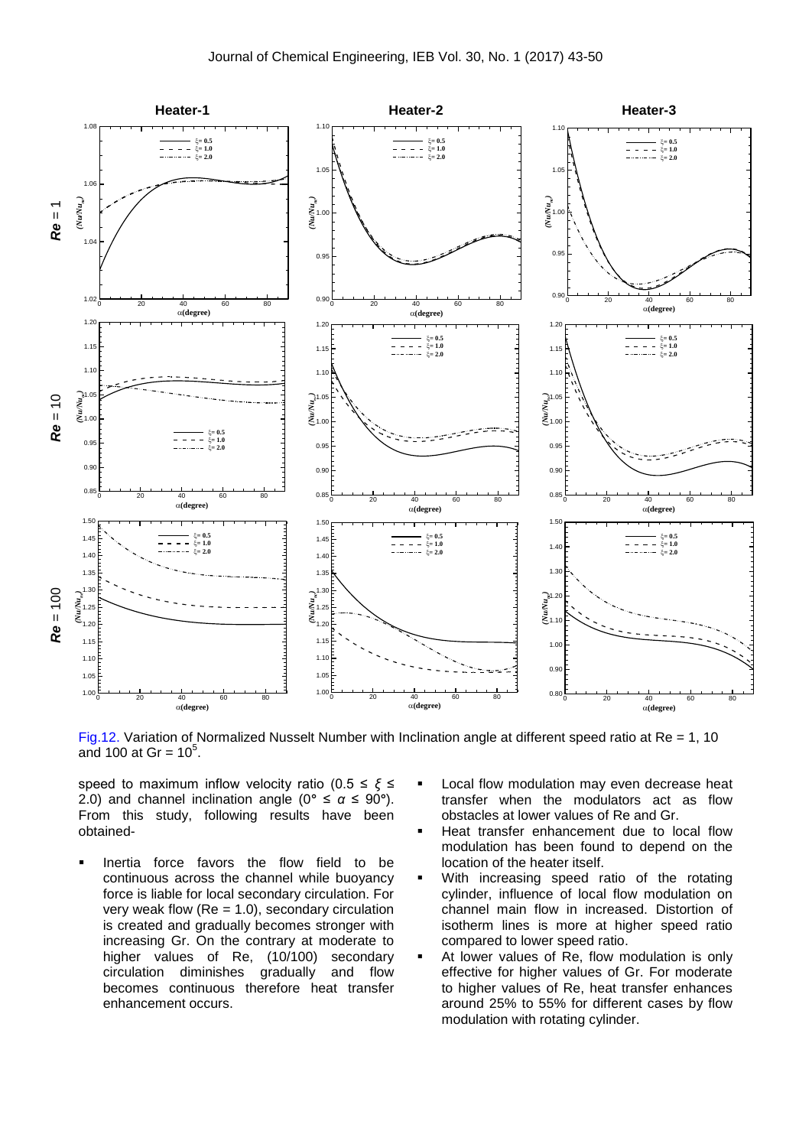

Fig.12. Variation of Normalized Nusselt Number with Inclination angle at different speed ratio at Re = 1, 10 and 100 at Gr =  $10^5$ .

speed to maximum inflow velocity ratio (0.5 ≤ *ξ* ≤ 2.0) and channel inclination angle ( $0^\circ \leq \alpha \leq 90^\circ$ ). From this study, following results have been obtained-

- Inertia force favors the flow field to be continuous across the channel while buoyancy force is liable for local secondary circulation. For very weak flow  $(Re = 1.0)$ , secondary circulation is created and gradually becomes stronger with increasing Gr. On the contrary at moderate to higher values of Re, (10/100) secondary circulation diminishes gradually and flow becomes continuous therefore heat transfer enhancement occurs.
- Local flow modulation may even decrease heat transfer when the modulators act as flow obstacles at lower values of Re and Gr.
- Heat transfer enhancement due to local flow modulation has been found to depend on the location of the heater itself.
- **With increasing speed ratio of the rotating** cylinder, influence of local flow modulation on channel main flow in increased. Distortion of isotherm lines is more at higher speed ratio compared to lower speed ratio.
- At lower values of Re, flow modulation is only effective for higher values of Gr. For moderate to higher values of Re, heat transfer enhances around 25% to 55% for different cases by flow modulation with rotating cylinder.